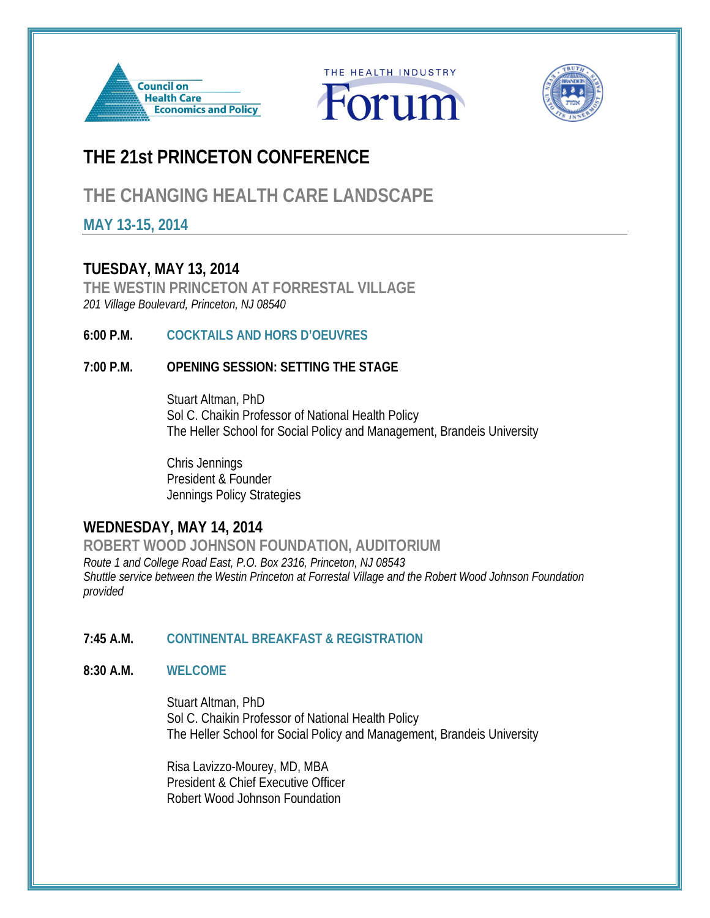





# **THE 21st PRINCETON CONFERENCE**

# **THE CHANGING HEALTH CARE LANDSCAPE**

**MAY 13-15, 2014**

# **TUESDAY, MAY 13, 2014**

**THE WESTIN PRINCETON AT FORRESTAL VILLAGE** *201 Village Boulevard, Princeton, NJ 08540*

# **6:00 P.M. COCKTAILS AND HORS D'OEUVRES**

# **7:00 P.M. OPENING SESSION: SETTING THE STAGE**

Stuart Altman, PhD Sol C. Chaikin Professor of National Health Policy The Heller School for Social Policy and Management, Brandeis University

Chris Jennings President & Founder Jennings Policy Strategies

# **WEDNESDAY, MAY 14, 2014**

**ROBERT WOOD JOHNSON FOUNDATION, AUDITORIUM** *Route 1 and College Road East, P.O. Box 2316, Princeton, NJ 08543 Shuttle service between the Westin Princeton at Forrestal Village and the Robert Wood Johnson Foundation provided*

# **7:45 A.M. CONTINENTAL BREAKFAST & REGISTRATION**

**8:30 A.M. WELCOME**

Stuart Altman, PhD Sol C. Chaikin Professor of National Health Policy The Heller School for Social Policy and Management, Brandeis University

Risa Lavizzo-Mourey, MD, MBA President & Chief Executive Officer Robert Wood Johnson Foundation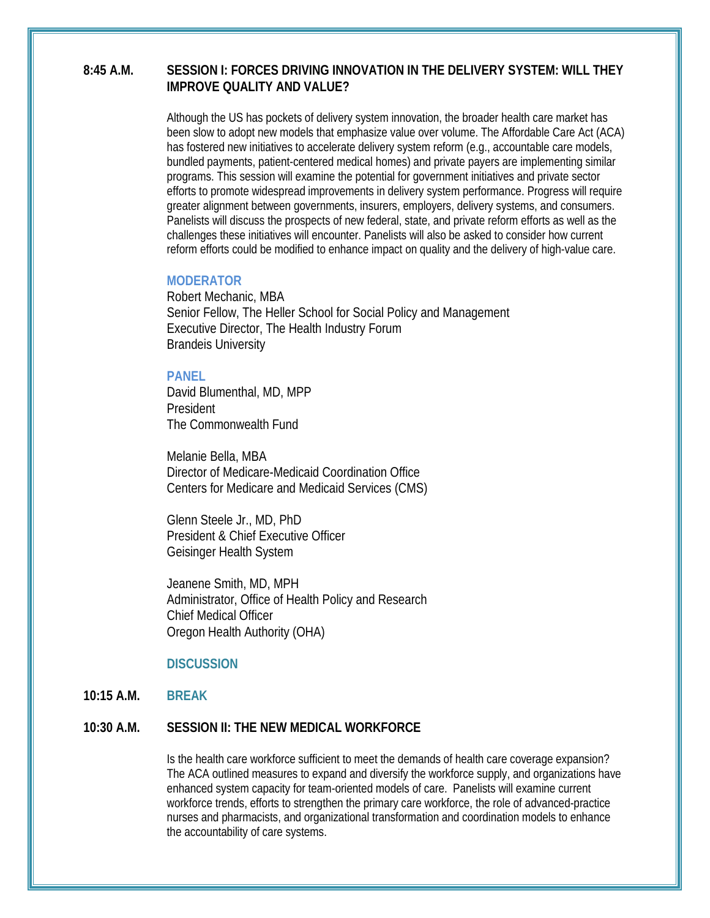### **8:45 A.M. SESSION I: FORCES DRIVING INNOVATION IN THE DELIVERY SYSTEM: WILL THEY IMPROVE QUALITY AND VALUE?**

Although the US has pockets of delivery system innovation, the broader health care market has been slow to adopt new models that emphasize value over volume. The Affordable Care Act (ACA) has fostered new initiatives to accelerate delivery system reform (e.g., accountable care models, bundled payments, patient-centered medical homes) and private payers are implementing similar programs. This session will examine the potential for government initiatives and private sector efforts to promote widespread improvements in delivery system performance. Progress will require greater alignment between governments, insurers, employers, delivery systems, and consumers. Panelists will discuss the prospects of new federal, state, and private reform efforts as well as the challenges these initiatives will encounter. Panelists will also be asked to consider how current reform efforts could be modified to enhance impact on quality and the delivery of high-value care.

#### **MODERATOR**

Robert Mechanic, MBA Senior Fellow, The Heller School for Social Policy and Management Executive Director, The Health Industry Forum Brandeis University

#### **PANEL**

David Blumenthal, MD, MPP President The Commonwealth Fund

Melanie Bella, MBA Director of Medicare-Medicaid Coordination Office Centers for Medicare and Medicaid Services (CMS)

Glenn Steele Jr., MD, PhD President & Chief Executive Officer Geisinger Health System

Jeanene Smith, MD, MPH Administrator, Office of Health Policy and Research Chief Medical Officer Oregon Health Authority (OHA)

### **DISCUSSION**

### **10:15 A.M. BREAK**

### **10:30 A.M. SESSION II: THE NEW MEDICAL WORKFORCE**

Is the health care workforce sufficient to meet the demands of health care coverage expansion? The ACA outlined measures to expand and diversify the workforce supply, and organizations have enhanced system capacity for team-oriented models of care. Panelists will examine current workforce trends, efforts to strengthen the primary care workforce, the role of advanced-practice nurses and pharmacists, and organizational transformation and coordination models to enhance the accountability of care systems.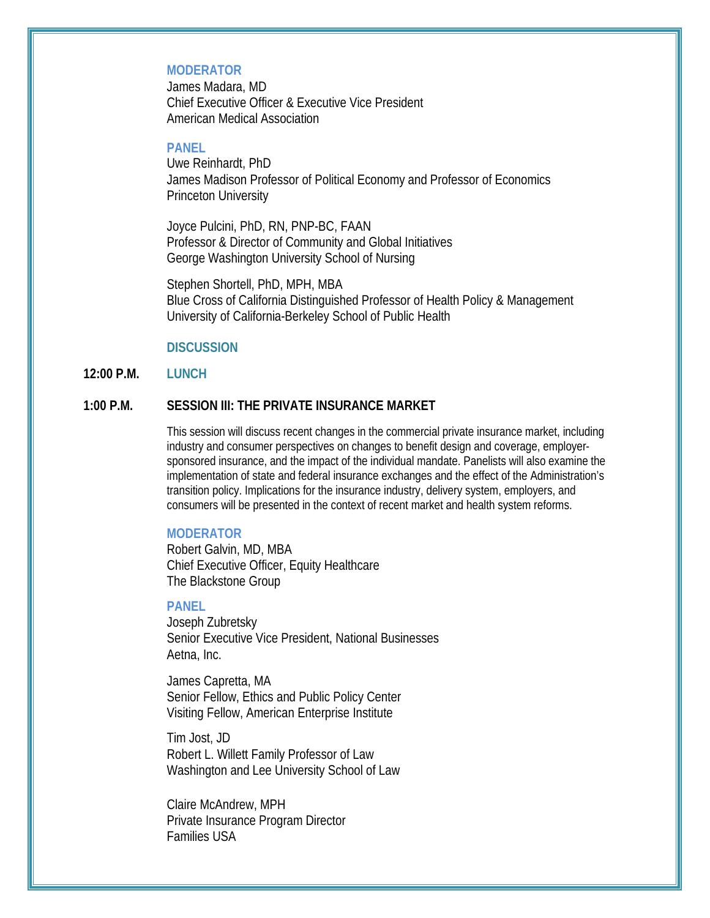### **MODERATOR**

James Madara, MD Chief Executive Officer & Executive Vice President American Medical Association

#### **PANEL**

Uwe Reinhardt, PhD James Madison Professor of Political Economy and Professor of Economics Princeton University

Joyce Pulcini, PhD, RN, PNP-BC, FAAN Professor & Director of Community and Global Initiatives George Washington University School of Nursing

Stephen Shortell, PhD, MPH, MBA Blue Cross of California Distinguished Professor of Health Policy & Management University of California-Berkeley School of Public Health

#### **DISCUSSION**

#### **12:00 P.M. LUNCH**

### **1:00 P.M. SESSION III: THE PRIVATE INSURANCE MARKET**

This session will discuss recent changes in the commercial private insurance market, including industry and consumer perspectives on changes to benefit design and coverage, employersponsored insurance, and the impact of the individual mandate. Panelists will also examine the implementation of state and federal insurance exchanges and the effect of the Administration's transition policy. Implications for the insurance industry, delivery system, employers, and consumers will be presented in the context of recent market and health system reforms.

#### **MODERATOR**

Robert Galvin, MD, MBA Chief Executive Officer, Equity Healthcare The Blackstone Group

#### **PANEL**

Joseph Zubretsky Senior Executive Vice President, National Businesses Aetna, Inc.

James Capretta, MA Senior Fellow, Ethics and Public Policy Center Visiting Fellow, American Enterprise Institute

Tim Jost, JD Robert L. Willett Family Professor of Law Washington and Lee University School of Law

Claire McAndrew, MPH Private Insurance Program Director Families USA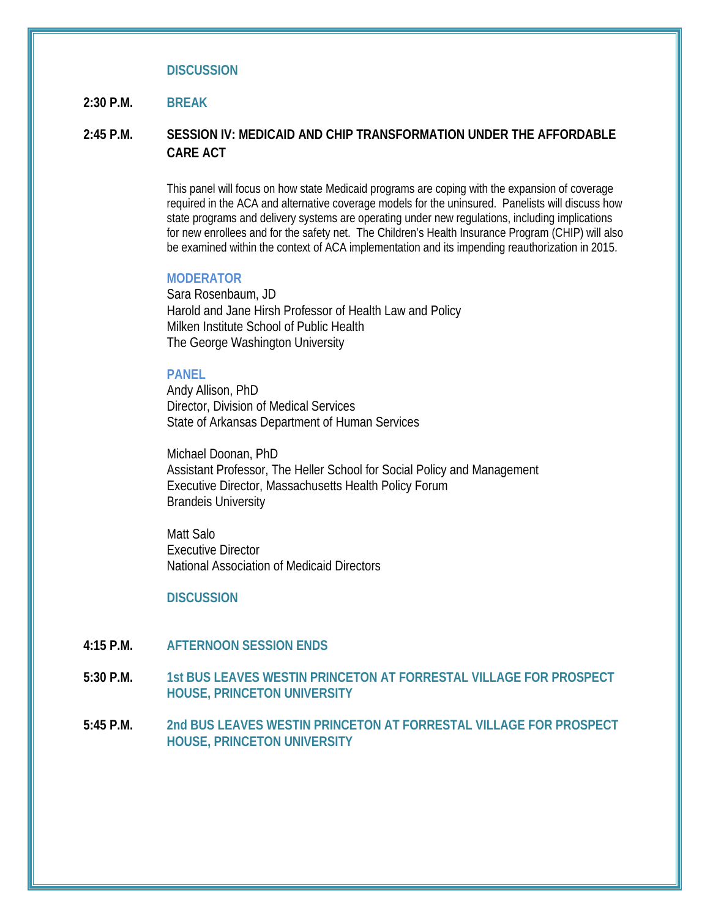### **DISCUSSION**

**2:30 P.M. BREAK**

**2:45 P.M. SESSION IV: MEDICAID AND CHIP TRANSFORMATION UNDER THE AFFORDABLE CARE ACT**

> This panel will focus on how state Medicaid programs are coping with the expansion of coverage required in the ACA and alternative coverage models for the uninsured. Panelists will discuss how state programs and delivery systems are operating under new regulations, including implications for new enrollees and for the safety net. The Children's Health Insurance Program (CHIP) will also be examined within the context of ACA implementation and its impending reauthorization in 2015.

#### **MODERATOR**

Sara Rosenbaum, JD Harold and Jane Hirsh Professor of Health Law and Policy Milken Institute School of Public Health The George Washington University

#### **PANEL**

Andy Allison, PhD Director, Division of Medical Services State of Arkansas Department of Human Services

Michael Doonan, PhD Assistant Professor, The Heller School for Social Policy and Management Executive Director, Massachusetts Health Policy Forum Brandeis University

Matt Salo Executive Director National Association of Medicaid Directors

### **DISCUSSION**

- **4:15 P.M. AFTERNOON SESSION ENDS**
- **5:30 P.M. 1st BUS LEAVES WESTIN PRINCETON AT FORRESTAL VILLAGE FOR PROSPECT HOUSE, PRINCETON UNIVERSITY**
- **5:45 P.M. 2nd BUS LEAVES WESTIN PRINCETON AT FORRESTAL VILLAGE FOR PROSPECT HOUSE, PRINCETON UNIVERSITY**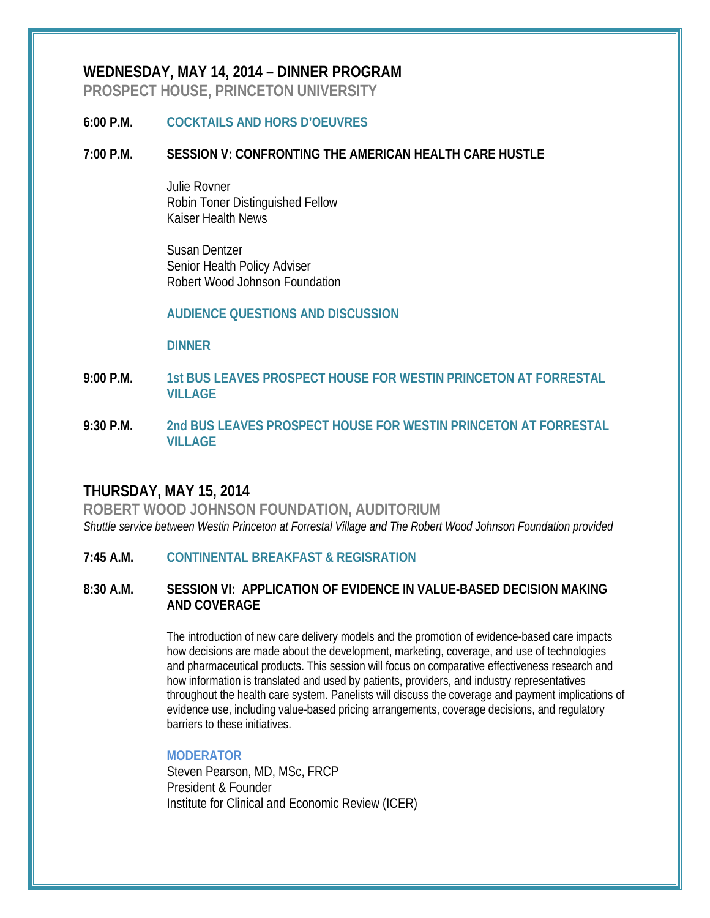# **WEDNESDAY, MAY 14, 2014 – DINNER PROGRAM**

**PROSPECT HOUSE, PRINCETON UNIVERSITY**

### **6:00 P.M. COCKTAILS AND HORS D'OEUVRES**

### **7:00 P.M. SESSION V: CONFRONTING THE AMERICAN HEALTH CARE HUSTLE**

Julie Rovner Robin Toner Distinguished Fellow Kaiser Health News

Susan Dentzer Senior Health Policy Adviser Robert Wood Johnson Foundation

### **AUDIENCE QUESTIONS AND DISCUSSION**

### **DINNER**

- **9:00 P.M. 1st BUS LEAVES PROSPECT HOUSE FOR WESTIN PRINCETON AT FORRESTAL VILLAGE**
- **9:30 P.M. 2nd BUS LEAVES PROSPECT HOUSE FOR WESTIN PRINCETON AT FORRESTAL VILLAGE**

## **THURSDAY, MAY 15, 2014**

**ROBERT WOOD JOHNSON FOUNDATION, AUDITORIUM** *Shuttle service between Westin Princeton at Forrestal Village and The Robert Wood Johnson Foundation provided*

### **7:45 A.M. CONTINENTAL BREAKFAST & REGISRATION**

### **8:30 A.M. SESSION VI: APPLICATION OF EVIDENCE IN VALUE-BASED DECISION MAKING AND COVERAGE**

The introduction of new care delivery models and the promotion of evidence-based care impacts how decisions are made about the development, marketing, coverage, and use of technologies and pharmaceutical products. This session will focus on comparative effectiveness research and how information is translated and used by patients, providers, and industry representatives throughout the health care system. Panelists will discuss the coverage and payment implications of evidence use, including value-based pricing arrangements, coverage decisions, and regulatory barriers to these initiatives.

### **MODERATOR**

Steven Pearson, MD, MSc, FRCP President & Founder Institute for Clinical and Economic Review (ICER)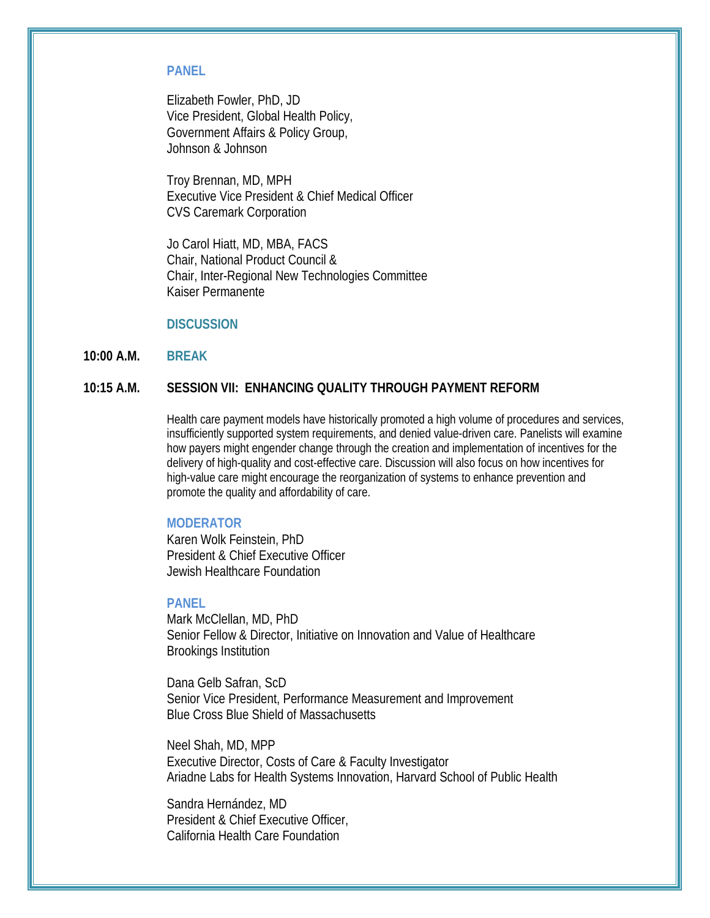#### **PANEL**

Elizabeth Fowler, PhD, JD Vice President, Global Health Policy, Government Affairs & Policy Group, Johnson & Johnson

Troy Brennan, MD, MPH Executive Vice President & Chief Medical Officer CVS Caremark Corporation

Jo Carol Hiatt, MD, MBA, FACS Chair, National Product Council & Chair, Inter-Regional New Technologies Committee Kaiser Permanente

#### **DISCUSSION**

### **10:00 A.M. BREAK**

#### **10:15 A.M. SESSION VII: ENHANCING QUALITY THROUGH PAYMENT REFORM**

Health care payment models have historically promoted a high volume of procedures and services, insufficiently supported system requirements, and denied value-driven care. Panelists will examine how payers might engender change through the creation and implementation of incentives for the delivery of high-quality and cost-effective care. Discussion will also focus on how incentives for high-value care might encourage the reorganization of systems to enhance prevention and promote the quality and affordability of care.

### **MODERATOR**

Karen Wolk Feinstein, PhD President & Chief Executive Officer Jewish Healthcare Foundation

#### **PANEL**

Mark McClellan, MD, PhD Senior Fellow & Director, Initiative on Innovation and Value of Healthcare Brookings Institution

Dana Gelb Safran, ScD Senior Vice President, Performance Measurement and Improvement Blue Cross Blue Shield of Massachusetts

Neel Shah, MD, MPP Executive Director, Costs of Care & Faculty Investigator Ariadne Labs for Health Systems Innovation, Harvard School of Public Health

Sandra Hernández, MD President & Chief Executive Officer, California Health Care Foundation